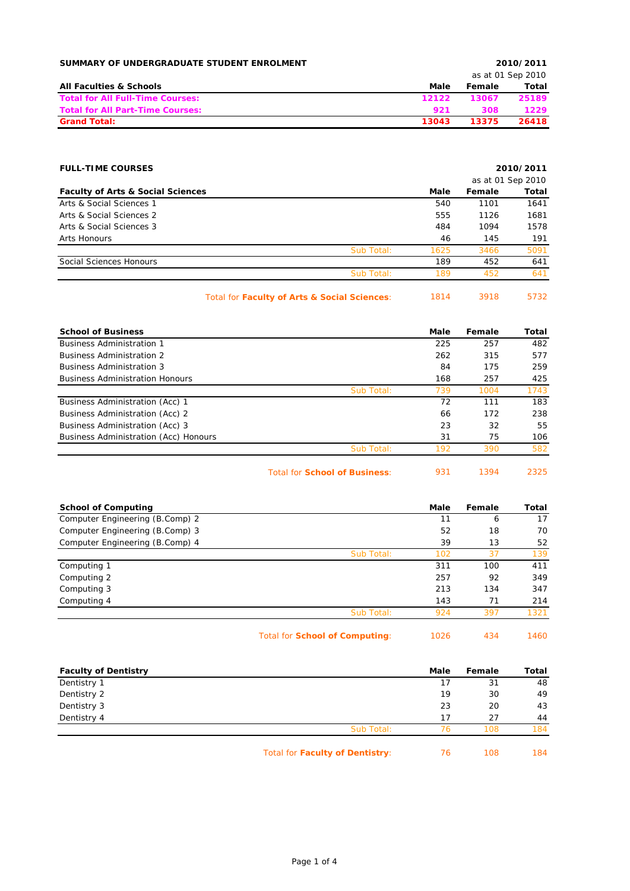| SUMMARY OF UNDERGRADUATE STUDENT ENROLMENT |       |        | 2010/2011         |
|--------------------------------------------|-------|--------|-------------------|
|                                            |       |        | as at 01 Sep 2010 |
| <b>All Faculties &amp; Schools</b>         | Male  | Female | Total             |
| <b>Total for All Full-Time Courses:</b>    | 12122 | 13067  | 25189             |
| <b>Total for All Part-Time Courses:</b>    | 921   | 308    | 1229              |
| <b>Grand Total:</b>                        | 13043 | 13375  | 26418             |

| <b>FULL-TIME COURSES</b>                     |                                              |                   |        | 2010/2011 |
|----------------------------------------------|----------------------------------------------|-------------------|--------|-----------|
|                                              |                                              | as at 01 Sep 2010 |        |           |
| <b>Faculty of Arts &amp; Social Sciences</b> |                                              | Male              | Female | Total     |
| Arts & Social Sciences 1                     |                                              | 540               | 1101   | 1641      |
| Arts & Social Sciences 2                     |                                              | 555               | 1126   | 1681      |
| Arts & Social Sciences 3                     |                                              | 484               | 1094   | 1578      |
| Arts Honours                                 |                                              | 46                | 145    | 191       |
|                                              | Sub Total:                                   | 1625              | 3466   | 5091      |
| Social Sciences Honours                      |                                              | 189               | 452    | 641       |
|                                              | Sub Total:                                   | 189               | 452    | 641       |
|                                              | Total for Faculty of Arts & Social Sciences: | 1814              | 3918   | 5732      |

| <b>School of Business</b>              |            | Male | Female | Total |
|----------------------------------------|------------|------|--------|-------|
| <b>Business Administration 1</b>       |            | 225  | 257    | 482   |
| <b>Business Administration 2</b>       |            | 262  | 315    | 577   |
| <b>Business Administration 3</b>       |            | 84   | 175    | 259   |
| <b>Business Administration Honours</b> |            | 168  | 257    | 425   |
|                                        | Sub Total: | 739  | 1004   | 1743  |
| Business Administration (Acc) 1        |            | 72   | 111    | 183   |
| Business Administration (Acc) 2        |            | 66   | 172    | 238   |
| Business Administration (Acc) 3        |            | 23   | 32     | 55    |
| Business Administration (Acc) Honours  |            | 31   | 75     | 106   |
|                                        | Sub Total: | 192  | 390    | 582   |

Total for **School of Business**: 931 1394 2325

| 1394 | 23 |
|------|----|
|      |    |

| <b>School of Computing</b>      |                                       | Male | Female | Total |
|---------------------------------|---------------------------------------|------|--------|-------|
| Computer Engineering (B.Comp) 2 |                                       | 11   | 6      | 17    |
| Computer Engineering (B.Comp) 3 |                                       | 52   | 18     | 70    |
| Computer Engineering (B.Comp) 4 |                                       | 39   | 13     | 52    |
|                                 | Sub Total:                            | 102  | 37     | 139   |
| Computing 1                     |                                       | 311  | 100    | 411   |
| Computing 2                     |                                       | 257  | 92     | 349   |
| Computing 3                     |                                       | 213  | 134    | 347   |
| Computing 4                     |                                       | 143  | 71     | 214   |
|                                 | Sub Total:                            | 924  | 397    | 1321  |
|                                 | Total for <b>School of Computing:</b> | 1026 | 434    | 1460  |

| <b>Faculty of Dentistry</b> |                                 | Male | Female | Total |
|-----------------------------|---------------------------------|------|--------|-------|
| Dentistry 1                 |                                 | -7   | 31     | 48    |
| Dentistry 2                 |                                 | 19   | 30     | 49    |
| Dentistry 3                 |                                 | 23   | 20     | 43    |
| Dentistry 4                 |                                 | 17   | 27     | 44    |
|                             | Sub Total:                      | 76   | 108    | 184   |
|                             | Total for Faculty of Dentistry: | 76   | 108    | 184   |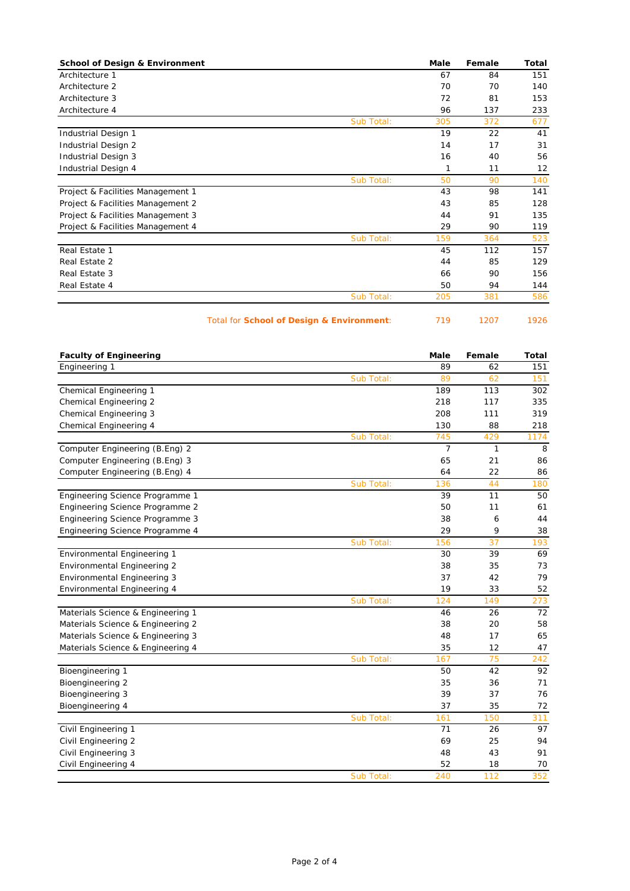| <b>School of Design &amp; Environment</b> | Male | Female | Total |
|-------------------------------------------|------|--------|-------|
| Architecture 1                            | 67   | 84     | 151   |
| Architecture 2                            | 70   | 70     | 140   |
| Architecture 3                            | 72   | 81     | 153   |
| Architecture 4                            | 96   | 137    | 233   |
| Sub Total:                                | 305  | 372    | 677   |
| Industrial Design 1                       | 19   | 22     | 41    |
| Industrial Design 2                       | 14   | 17     | 31    |
| Industrial Design 3                       | 16   | 40     | 56    |
| Industrial Design 4                       | 1    | 11     | 12    |
| Sub Total:                                | 50   | 90     | 140   |
| Project & Facilities Management 1         | 43   | 98     | 141   |
| Project & Facilities Management 2         | 43   | 85     | 128   |
| Project & Facilities Management 3         | 44   | 91     | 135   |
| Project & Facilities Management 4         | 29   | 90     | 119   |
| Sub Total:                                | 159  | 364    | 523   |
| Real Estate 1                             | 45   | 112    | 157   |
| Real Estate 2                             | 44   | 85     | 129   |
| Real Estate 3                             | 66   | 90     | 156   |
| Real Estate 4                             | 50   | 94     | 144   |
| Sub Total:                                | 205  | 381    | 586   |

## Total for **School of Design & Environment**: 719 1207 1926

| <b>Faculty of Engineering</b>      |            | <b>Male</b>    | Female       | <b>Total</b> |
|------------------------------------|------------|----------------|--------------|--------------|
| Engineering 1                      |            | 89             | 62           | 151          |
|                                    | Sub Total: | 89             | 62           | 151          |
| Chemical Engineering 1             |            | 189            | 113          | 302          |
| <b>Chemical Engineering 2</b>      |            | 218            | 117          | 335          |
| Chemical Engineering 3             |            | 208            | 111          | 319          |
| Chemical Engineering 4             |            | 130            | 88           | 218          |
|                                    | Sub Total: | 745            | 429          | 1174         |
| Computer Engineering (B.Eng) 2     |            | $\overline{7}$ | $\mathbf{1}$ | 8            |
| Computer Engineering (B.Eng) 3     |            | 65             | 21           | 86           |
| Computer Engineering (B.Eng) 4     |            | 64             | 22           | 86           |
|                                    | Sub Total: | 136            | 44           | 180          |
| Engineering Science Programme 1    |            | 39             | 11           | 50           |
| Engineering Science Programme 2    |            | 50             | 11           | 61           |
| Engineering Science Programme 3    |            | 38             | 6            | 44           |
| Engineering Science Programme 4    |            | 29             | 9            | 38           |
|                                    | Sub Total: | 156            | 37           | 193          |
| Environmental Engineering 1        |            | 30             | 39           | 69           |
| Environmental Engineering 2        |            | 38             | 35           | 73           |
| <b>Environmental Engineering 3</b> |            | 37             | 42           | 79           |
| Environmental Engineering 4        |            | 19             | 33           | 52           |
|                                    | Sub Total: | 124            | 149          | 273          |
| Materials Science & Engineering 1  |            | 46             | 26           | 72           |
| Materials Science & Engineering 2  |            | 38             | 20           | 58           |
| Materials Science & Engineering 3  |            | 48             | 17           | 65           |
| Materials Science & Engineering 4  |            | 35             | 12           | 47           |
|                                    | Sub Total: | 167            | 75           | 242          |
| Bioengineering 1                   |            | 50             | 42           | 92           |
| Bioengineering 2                   |            | 35             | 36           | 71           |
| Bioengineering 3                   |            | 39             | 37           | 76           |
| Bioengineering 4                   |            | 37             | 35           | 72           |
|                                    | Sub Total: | 161            | 150          | 311          |
| Civil Engineering 1                |            | 71             | 26           | 97           |
| Civil Engineering 2                |            | 69             | 25           | 94           |
| Civil Engineering 3                |            | 48             | 43           | 91           |
| Civil Engineering 4                |            | 52             | 18           | 70           |
|                                    | Sub Total: | 240            | 112          | 352          |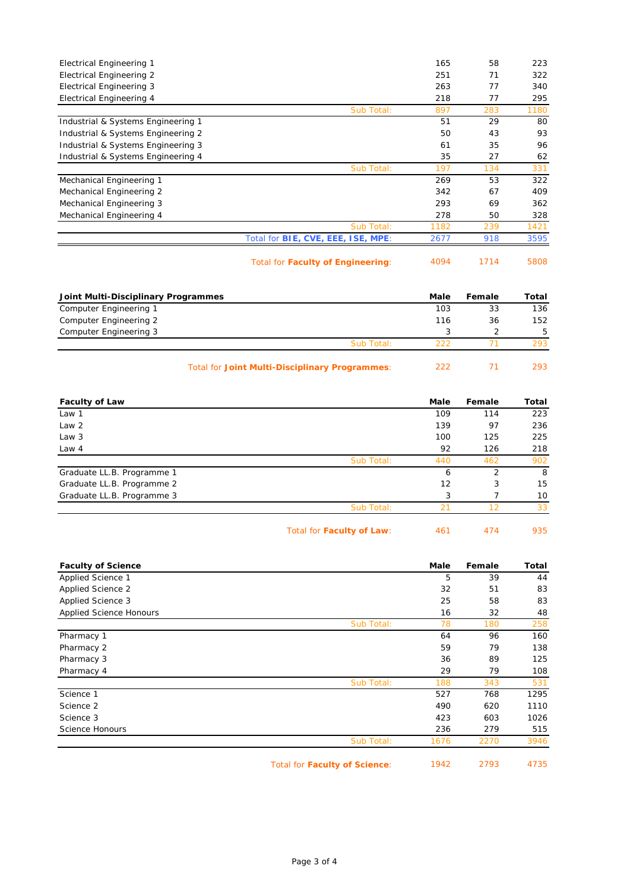| <b>Electrical Engineering 1</b>    |                                    | 165  | 58  | 223  |
|------------------------------------|------------------------------------|------|-----|------|
|                                    |                                    | 251  | 71  | 322  |
| Electrical Engineering 2           |                                    |      |     |      |
| <b>Electrical Engineering 3</b>    |                                    | 263  | 77  | 340  |
| Electrical Engineering 4           |                                    | 218  | 77  | 295  |
|                                    | Sub Total:                         | 897  | 283 | 1180 |
| Industrial & Systems Engineering 1 |                                    | 51   | 29  | 80   |
| Industrial & Systems Engineering 2 |                                    | 50   | 43  | 93   |
| Industrial & Systems Engineering 3 |                                    | 61   | 35  | 96   |
| Industrial & Systems Engineering 4 |                                    | 35   | 27  | 62   |
|                                    | Sub Total:                         | 197  | 134 | 331  |
| Mechanical Engineering 1           |                                    | 269  | 53  | 322  |
| Mechanical Engineering 2           |                                    | 342  | 67  | 409  |
| Mechanical Engineering 3           |                                    | 293  | 69  | 362  |
| Mechanical Engineering 4           |                                    | 278  | 50  | 328  |
|                                    | Sub Total:                         | 1182 | 239 | 1421 |
|                                    | Total for BIE, CVE, EEE, ISE, MPE: | 2677 | 918 | 3595 |
|                                    |                                    |      |     |      |

Total for **Faculty of Engineering**: 4094 1714 5808

| Joint Multi-Disciplinary Programmes |                                                       | Male | Female | Total |
|-------------------------------------|-------------------------------------------------------|------|--------|-------|
| Computer Engineering 1              |                                                       | 103  | 33     | 136   |
| Computer Engineering 2              |                                                       | 116  | 36     | 152   |
| Computer Engineering 3              |                                                       |      |        | 5     |
|                                     | Sub Total:                                            | 222  |        | 293   |
|                                     | <b>Total for Joint Multi-Disciplinary Programmes:</b> | 222  |        | 293.  |

| <b>Faculty of Law</b>      |            | Male | Female         | Total |
|----------------------------|------------|------|----------------|-------|
| Law 1                      |            | 109  | 114            | 223   |
| Law 2                      |            | 139  | 97             | 236   |
| Law 3                      |            | 100  | 125            | 225   |
| Law 4                      |            | 92   | 126            | 218   |
|                            | Sub Total: | 440  | 462            | 902   |
| Graduate LL.B. Programme 1 |            | 6    | $\overline{2}$ | -8    |
| Graduate LL.B. Programme 2 |            | 12   | 3              | 15    |
| Graduate LL.B. Programme 3 |            | 3    |                | 10    |
|                            | Sub Total: | 21   | 12             | 33    |
|                            |            |      |                |       |

Total for **Faculty of Law**: 461 474 935

| <b>Faculty of Science</b>      |                                      | Male | Female | Total |
|--------------------------------|--------------------------------------|------|--------|-------|
| Applied Science 1              |                                      | 5    | 39     | 44    |
| Applied Science 2              |                                      | 32   | 51     | 83    |
| Applied Science 3              |                                      | 25   | 58     | 83    |
| <b>Applied Science Honours</b> |                                      | 16   | 32     | 48    |
|                                | Sub Total:                           | 78   | 180    | 258   |
| Pharmacy 1                     |                                      | 64   | 96     | 160   |
| Pharmacy 2                     |                                      | 59   | 79     | 138   |
| Pharmacy 3                     |                                      | 36   | 89     | 125   |
| Pharmacy 4                     |                                      | 29   | 79     | 108   |
|                                | Sub Total:                           | 188  | 343    | 531   |
| Science 1                      |                                      | 527  | 768    | 1295  |
| Science 2                      |                                      | 490  | 620    | 1110  |
| Science 3                      |                                      | 423  | 603    | 1026  |
| Science Honours                |                                      | 236  | 279    | 515   |
|                                | Sub Total:                           | 1676 | 2270   | 3946  |
|                                | <b>Total for Faculty of Science:</b> | 1942 | 2793   | 4735  |